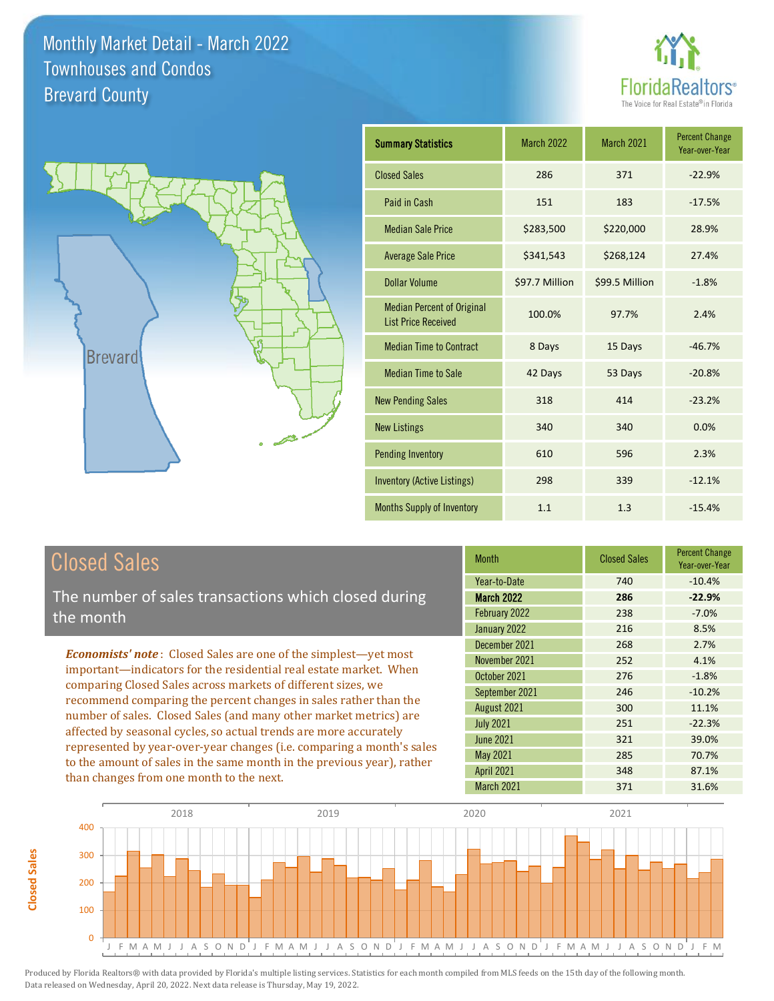



| <b>Summary Statistics</b>                                       | <b>March 2022</b> | March 2021     | <b>Percent Change</b><br>Year-over-Year |
|-----------------------------------------------------------------|-------------------|----------------|-----------------------------------------|
| <b>Closed Sales</b>                                             | 286               | 371            | $-22.9%$                                |
| Paid in Cash                                                    | 151               | 183            | $-17.5%$                                |
| <b>Median Sale Price</b>                                        | \$283,500         | \$220,000      | 28.9%                                   |
| <b>Average Sale Price</b>                                       | \$341,543         | \$268,124      | 27.4%                                   |
| <b>Dollar Volume</b>                                            | \$97.7 Million    | \$99.5 Million | $-1.8%$                                 |
| <b>Median Percent of Original</b><br><b>List Price Received</b> | 100.0%            | 97.7%          | 2.4%                                    |
| <b>Median Time to Contract</b>                                  | 8 Days            | 15 Days        | $-46.7%$                                |
| <b>Median Time to Sale</b>                                      | 42 Days           | 53 Days        | $-20.8%$                                |
| <b>New Pending Sales</b>                                        | 318               | 414            | $-23.2%$                                |
| <b>New Listings</b>                                             | 340               | 340            | 0.0%                                    |
| <b>Pending Inventory</b>                                        | 610               | 596            | 2.3%                                    |
| <b>Inventory (Active Listings)</b>                              | 298               | 339            | $-12.1%$                                |
| <b>Months Supply of Inventory</b>                               | 1.1               | 1.3            | $-15.4%$                                |

## Closed Sales

**Closed Sales**

**Closed Sales** 

The number of sales transactions which closed during the month

*Economists' note* : Closed Sales are one of the simplest—yet most important—indicators for the residential real estate market. When comparing Closed Sales across markets of different sizes, we recommend comparing the percent changes in sales rather than the number of sales. Closed Sales (and many other market metrics) are affected by seasonal cycles, so actual trends are more accurately represented by year-over-year changes (i.e. comparing a month's sales to the amount of sales in the same month in the previous year), rather than changes from one month to the next.

| <b>Closed Sales</b> | <b>Percent Change</b><br>Year-over-Year |
|---------------------|-----------------------------------------|
| 740                 | $-10.4%$                                |
| 286                 | $-22.9%$                                |
| 238                 | $-7.0%$                                 |
| 216                 | 8.5%                                    |
| 268                 | 2.7%                                    |
| 252                 | 4.1%                                    |
| 276                 | $-1.8%$                                 |
| 246                 | $-10.2%$                                |
| 300                 | 11.1%                                   |
| 251                 | $-22.3%$                                |
| 321                 | 39.0%                                   |
| 285                 | 70.7%                                   |
| 348                 | 87.1%                                   |
| 371                 | 31.6%                                   |
|                     |                                         |

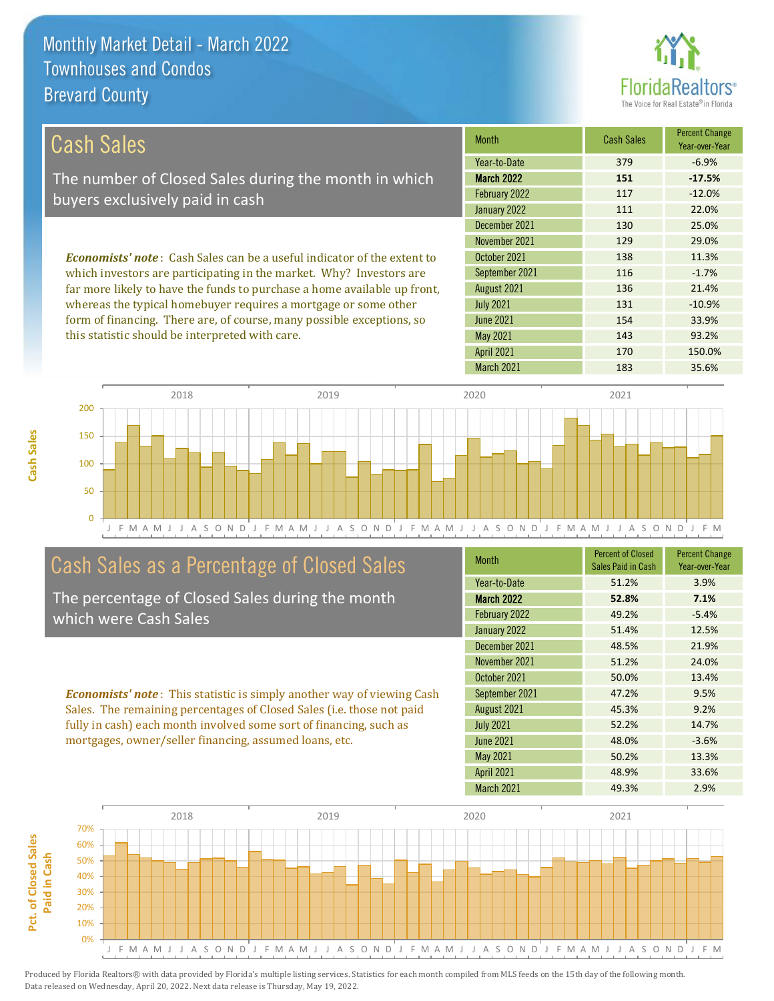**Cash Sales**



| <b>Cash Sales</b>                                                                                                        | <b>Month</b>      | <b>Cash Sales</b> | <b>Percent Change</b><br>Year-over-Year |
|--------------------------------------------------------------------------------------------------------------------------|-------------------|-------------------|-----------------------------------------|
|                                                                                                                          | Year-to-Date      | 379               | $-6.9%$                                 |
| The number of Closed Sales during the month in which                                                                     | <b>March 2022</b> | 151               | $-17.5%$                                |
| buyers exclusively paid in cash                                                                                          | February 2022     | 117               | $-12.0%$                                |
|                                                                                                                          | January 2022      | 111               | 22.0%                                   |
|                                                                                                                          | December 2021     | 130               | 25.0%                                   |
|                                                                                                                          | November 2021     | 129               | 29.0%                                   |
| <b>Economists' note</b> : Cash Sales can be a useful indicator of the extent to                                          | October 2021      | 138               | 11.3%                                   |
| which investors are participating in the market. Why? Investors are                                                      | September 2021    | 116               | $-1.7%$                                 |
| far more likely to have the funds to purchase a home available up front,                                                 | August 2021       | 136               | 21.4%                                   |
| whereas the typical homebuyer requires a mortgage or some other                                                          | <b>July 2021</b>  | 131               | $-10.9%$                                |
| form of financing. There are, of course, many possible exceptions, so<br>this statistic should be interpreted with care. | <b>June 2021</b>  | 154               | 33.9%                                   |
|                                                                                                                          | May 2021          | 143               | 93.2%                                   |
|                                                                                                                          | <b>April 2021</b> | 170               | 150.0%                                  |



## Cash Sales as a Percentage of Closed Sales

The percentage of Closed Sales during the month which were Cash Sales

*Economists' note* : This statistic is simply another way of viewing Cash Sales. The remaining percentages of Closed Sales (i.e. those not paid fully in cash) each month involved some sort of financing, such as mortgages, owner/seller financing, assumed loans, etc.

| <b>Month</b>      | <b>Percent of Closed</b><br>Sales Paid in Cash | <b>Percent Change</b><br>Year-over-Year |
|-------------------|------------------------------------------------|-----------------------------------------|
| Year-to-Date      | 51.2%                                          | 3.9%                                    |
| <b>March 2022</b> | 52.8%                                          | 7.1%                                    |
| February 2022     | 49.2%                                          | $-5.4%$                                 |
| January 2022      | 51.4%                                          | 12.5%                                   |
| December 2021     | 48.5%                                          | 21.9%                                   |
| November 2021     | 51.2%                                          | 24.0%                                   |
| October 2021      | 50.0%                                          | 13.4%                                   |
| September 2021    | 47.2%                                          | 9.5%                                    |
| August 2021       | 45.3%                                          | 9.2%                                    |
| <b>July 2021</b>  | 52.2%                                          | 14.7%                                   |
| <b>June 2021</b>  | 48.0%                                          | $-3.6%$                                 |
| <b>May 2021</b>   | 50.2%                                          | 13.3%                                   |
| <b>April 2021</b> | 48.9%                                          | 33.6%                                   |
| March 2021        | 49.3%                                          | 2.9%                                    |

March 2021 183 35.6%

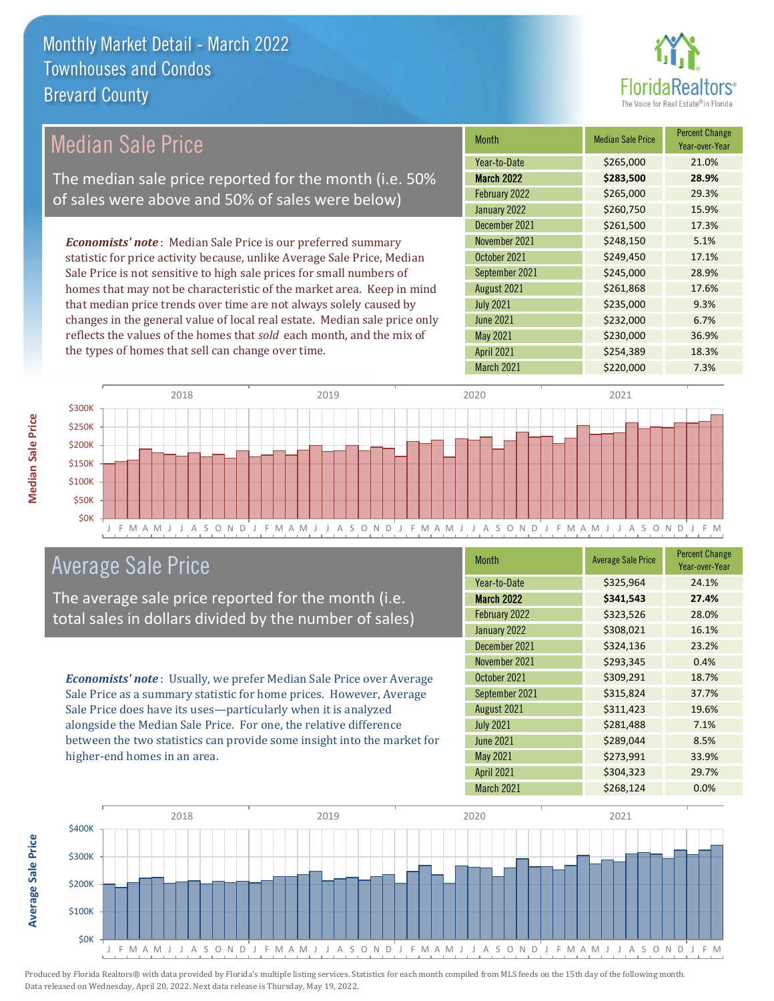

| Median Sale Price                                                         | <b>Month</b>      | <b>Median Sale Price</b> | <b>Percent Change</b><br>Year-over-Year |
|---------------------------------------------------------------------------|-------------------|--------------------------|-----------------------------------------|
|                                                                           | Year-to-Date      | \$265,000                | 21.0%                                   |
| The median sale price reported for the month (i.e. 50%                    | <b>March 2022</b> | \$283,500                | 28.9%                                   |
| of sales were above and 50% of sales were below)                          | February 2022     | \$265,000                | 29.3%                                   |
|                                                                           | January 2022      | \$260,750                | 15.9%                                   |
|                                                                           | December 2021     | \$261,500                | 17.3%                                   |
| <b>Economists' note</b> : Median Sale Price is our preferred summary      | November 2021     | \$248,150                | 5.1%                                    |
| statistic for price activity because, unlike Average Sale Price, Median   | October 2021      | \$249,450                | 17.1%                                   |
| Sale Price is not sensitive to high sale prices for small numbers of      | September 2021    | \$245,000                | 28.9%                                   |
| homes that may not be characteristic of the market area. Keep in mind     | August 2021       | \$261,868                | 17.6%                                   |
| that median price trends over time are not always solely caused by        | <b>July 2021</b>  | \$235,000                | 9.3%                                    |
| changes in the general value of local real estate. Median sale price only | June 2021         | \$232,000                | 6.7%                                    |
| reflects the values of the homes that sold each month, and the mix of     | May 2021          | \$230,000                | 36.9%                                   |
| the types of homes that sell can change over time.                        | <b>April 2021</b> | \$254,389                | 18.3%                                   |



## Average Sale Price

The average sale price reported for the month (i.e. total sales in dollars divided by the number of sales)

*Economists' note* : Usually, we prefer Median Sale Price over Average Sale Price as a summary statistic for home prices. However, Average Sale Price does have its uses—particularly when it is analyzed alongside the Median Sale Price. For one, the relative difference between the two statistics can provide some insight into the market for higher-end homes in an area.

| <b>Month</b>      | <b>Average Sale Price</b> | <b>Percent Change</b><br>Year-over-Year |
|-------------------|---------------------------|-----------------------------------------|
| Year-to-Date      | \$325,964                 | 24.1%                                   |
| <b>March 2022</b> | \$341,543                 | 27.4%                                   |
| February 2022     | \$323,526                 | 28.0%                                   |
| January 2022      | \$308,021                 | 16.1%                                   |
| December 2021     | \$324,136                 | 23.2%                                   |
| November 2021     | \$293,345                 | 0.4%                                    |
| October 2021      | \$309,291                 | 18.7%                                   |
| September 2021    | \$315,824                 | 37.7%                                   |
| August 2021       | \$311,423                 | 19.6%                                   |
| <b>July 2021</b>  | \$281,488                 | 7.1%                                    |
| <b>June 2021</b>  | \$289,044                 | 8.5%                                    |
| <b>May 2021</b>   | \$273,991                 | 33.9%                                   |
| <b>April 2021</b> | \$304,323                 | 29.7%                                   |
| March 2021        | \$268,124                 | 0.0%                                    |

March 2021 \$220,000 7.3%



**Median Sale Price**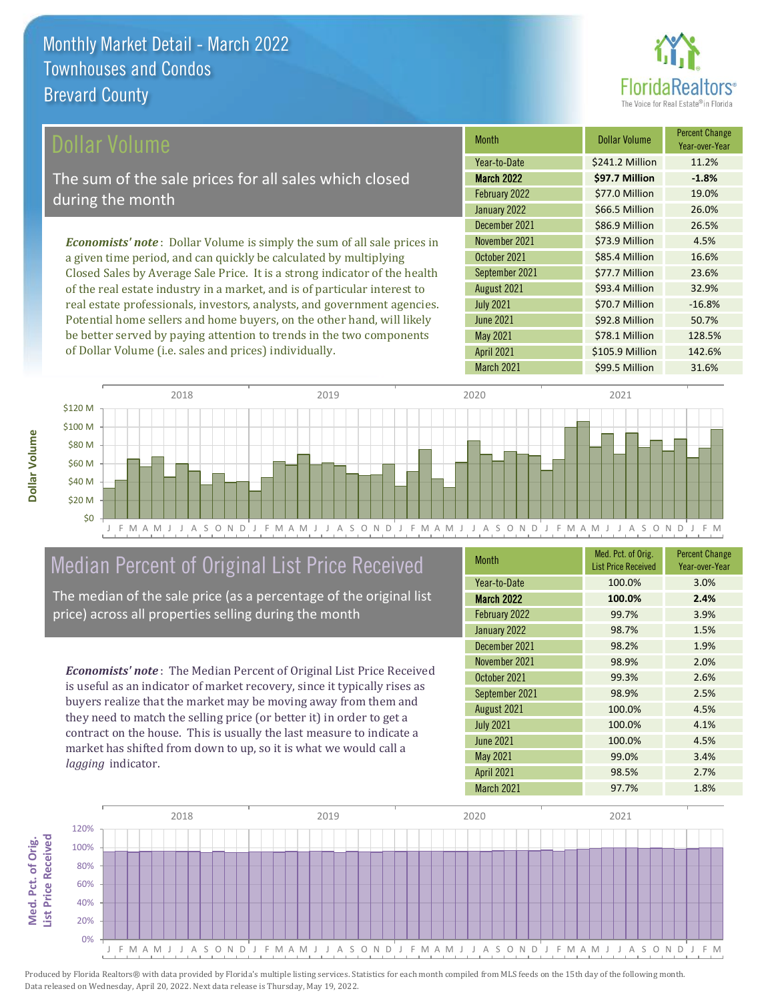

\$78.1 Million 128.5%

April 2021 **\$105.9 Million** 142.6%

| <b>Dollar Volume</b>                                                            | <b>Month</b>      | <b>Dollar Volume</b> | <b>Percent Change</b><br>Year-over-Year |
|---------------------------------------------------------------------------------|-------------------|----------------------|-----------------------------------------|
|                                                                                 | Year-to-Date      | \$241.2 Million      | 11.2%                                   |
| The sum of the sale prices for all sales which closed                           | <b>March 2022</b> | \$97.7 Million       | $-1.8%$                                 |
| during the month                                                                | February 2022     | \$77.0 Million       | 19.0%                                   |
|                                                                                 | January 2022      | \$66.5 Million       | 26.0%                                   |
|                                                                                 | December 2021     | \$86.9 Million       | 26.5%                                   |
| <b>Economists' note</b> : Dollar Volume is simply the sum of all sale prices in | November 2021     | \$73.9 Million       | 4.5%                                    |
| a given time period, and can quickly be calculated by multiplying               | October 2021      | \$85.4 Million       | 16.6%                                   |
| Closed Sales by Average Sale Price. It is a strong indicator of the health      | September 2021    | \$77.7 Million       | 23.6%                                   |
| of the real estate industry in a market, and is of particular interest to       | August 2021       | \$93.4 Million       | 32.9%                                   |
| real estate professionals, investors, analysts, and government agencies.        | <b>July 2021</b>  | \$70.7 Million       | $-16.8%$                                |
| Potential home sellers and home buyers, on the other hand, will likely          | <b>June 2021</b>  | \$92.8 Million       | 50.7%                                   |

May 2021



## Median Percent of Original List Price Received

be better served by paying attention to trends in the two components

of Dollar Volume (i.e. sales and prices) individually.

The median of the sale price (as a percentage of the original list price) across all properties selling during the month

*Economists' note* : The Median Percent of Original List Price Received is useful as an indicator of market recovery, since it typically rises as buyers realize that the market may be moving away from them and they need to match the selling price (or better it) in order to get a contract on the house. This is usually the last measure to indicate a market has shifted from down to up, so it is what we would call a *lagging* indicator.

**Med. Pct. of Orig.** 

Med. Pct. of Orig.

**Dollar Volume**

Dollar Volume

| <b>Month</b>      | Med. Pct. of Orig.<br><b>List Price Received</b> | <b>Percent Change</b><br>Year-over-Year |
|-------------------|--------------------------------------------------|-----------------------------------------|
| Year-to-Date      | 100.0%                                           | 3.0%                                    |
| <b>March 2022</b> | 100.0%                                           | 2.4%                                    |
| February 2022     | 99.7%                                            | 3.9%                                    |
| January 2022      | 98.7%                                            | 1.5%                                    |
| December 2021     | 98.2%                                            | 1.9%                                    |
| November 2021     | 98.9%                                            | 2.0%                                    |
| October 2021      | 99.3%                                            | 2.6%                                    |
| September 2021    | 98.9%                                            | 2.5%                                    |
| August 2021       | 100.0%                                           | 4.5%                                    |
| <b>July 2021</b>  | 100.0%                                           | 4.1%                                    |
| <b>June 2021</b>  | 100.0%                                           | 4.5%                                    |
| <b>May 2021</b>   | 99.0%                                            | 3.4%                                    |
| <b>April 2021</b> | 98.5%                                            | 2.7%                                    |
| March 2021        | 97.7%                                            | 1.8%                                    |

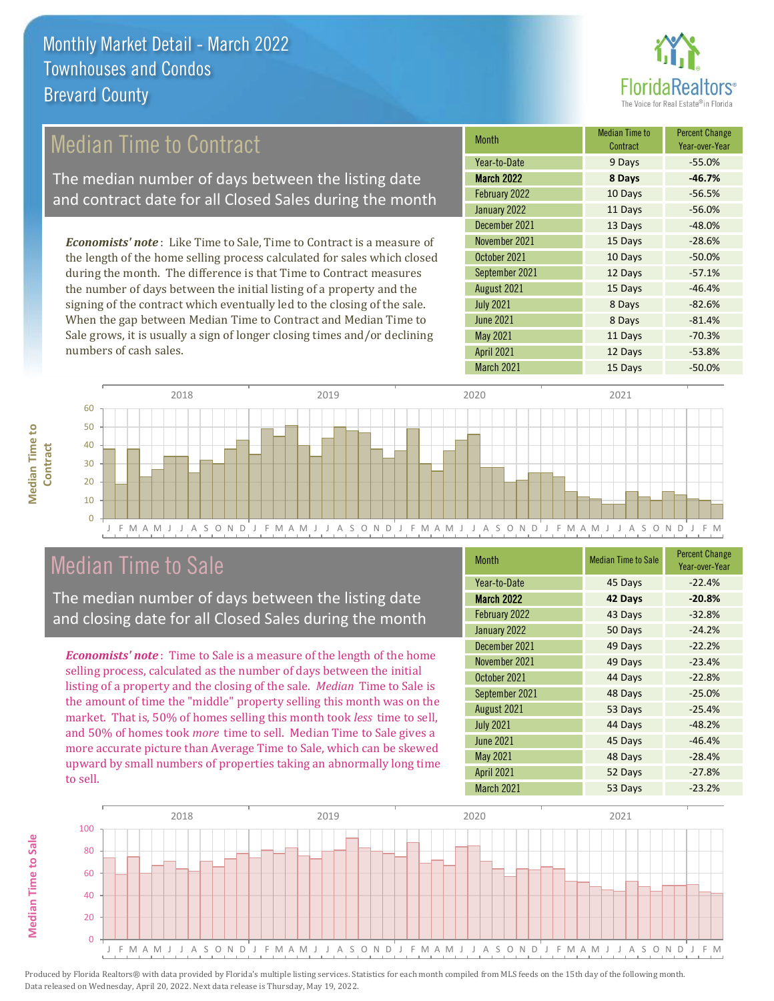

## Median Time to Contract

The median number of days between the listing date and contract date for all Closed Sales during the month

*Economists' note* : Like Time to Sale, Time to Contract is a measure of the length of the home selling process calculated for sales which closed during the month. The difference is that Time to Contract measures the number of days between the initial listing of a property and the signing of the contract which eventually led to the closing of the sale. When the gap between Median Time to Contract and Median Time to Sale grows, it is usually a sign of longer closing times and/or declining numbers of cash sales.

| <b>Month</b>      | Median Time to<br>Contract | <b>Percent Change</b><br>Year-over-Year |
|-------------------|----------------------------|-----------------------------------------|
| Year-to-Date      | 9 Days                     | $-55.0%$                                |
| <b>March 2022</b> | 8 Days                     | $-46.7%$                                |
| February 2022     | 10 Days                    | $-56.5%$                                |
| January 2022      | 11 Days                    | $-56.0%$                                |
| December 2021     | 13 Days                    | $-48.0%$                                |
| November 2021     | 15 Days                    | $-28.6%$                                |
| October 2021      | 10 Days                    | $-50.0%$                                |
| September 2021    | 12 Days                    | $-57.1%$                                |
| August 2021       | 15 Days                    | $-46.4%$                                |
| <b>July 2021</b>  | 8 Days                     | $-82.6%$                                |
| <b>June 2021</b>  | 8 Days                     | $-81.4%$                                |
| <b>May 2021</b>   | 11 Days                    | $-70.3%$                                |
| <b>April 2021</b> | 12 Days                    | $-53.8%$                                |
| March 2021        | 15 Days                    | $-50.0%$                                |



## Median Time to Sale

The median number of days between the listing date and closing date for all Closed Sales during the month

*Economists' note* : Time to Sale is a measure of the length of the home selling process, calculated as the number of days between the initial listing of a property and the closing of the sale. *Median* Time to Sale is the amount of time the "middle" property selling this month was on the market. That is, 50% of homes selling this month took *less* time to sell, and 50% of homes took *more* time to sell. Median Time to Sale gives a more accurate picture than Average Time to Sale, which can be skewed upward by small numbers of properties taking an abnormally long time to sell.

| <b>Month</b>      | <b>Median Time to Sale</b> | <b>Percent Change</b><br>Year-over-Year |
|-------------------|----------------------------|-----------------------------------------|
| Year-to-Date      | 45 Days                    | $-22.4%$                                |
| March 2022        | 42 Days                    | $-20.8%$                                |
| February 2022     | 43 Days                    | $-32.8%$                                |
| January 2022      | 50 Days                    | $-24.2%$                                |
| December 2021     | 49 Days                    | $-22.2%$                                |
| November 2021     | 49 Days                    | $-23.4%$                                |
| October 2021      | 44 Days                    | $-22.8%$                                |
| September 2021    | 48 Days                    | $-25.0%$                                |
| August 2021       | 53 Days                    | $-25.4%$                                |
| <b>July 2021</b>  | 44 Days                    | $-48.2%$                                |
| <b>June 2021</b>  | 45 Days                    | $-46.4%$                                |
| May 2021          | 48 Days                    | $-28.4%$                                |
| <b>April 2021</b> | 52 Days                    | $-27.8%$                                |
| March 2021        | 53 Days                    | $-23.2%$                                |



**Median Time to Sale Median Time to Sale**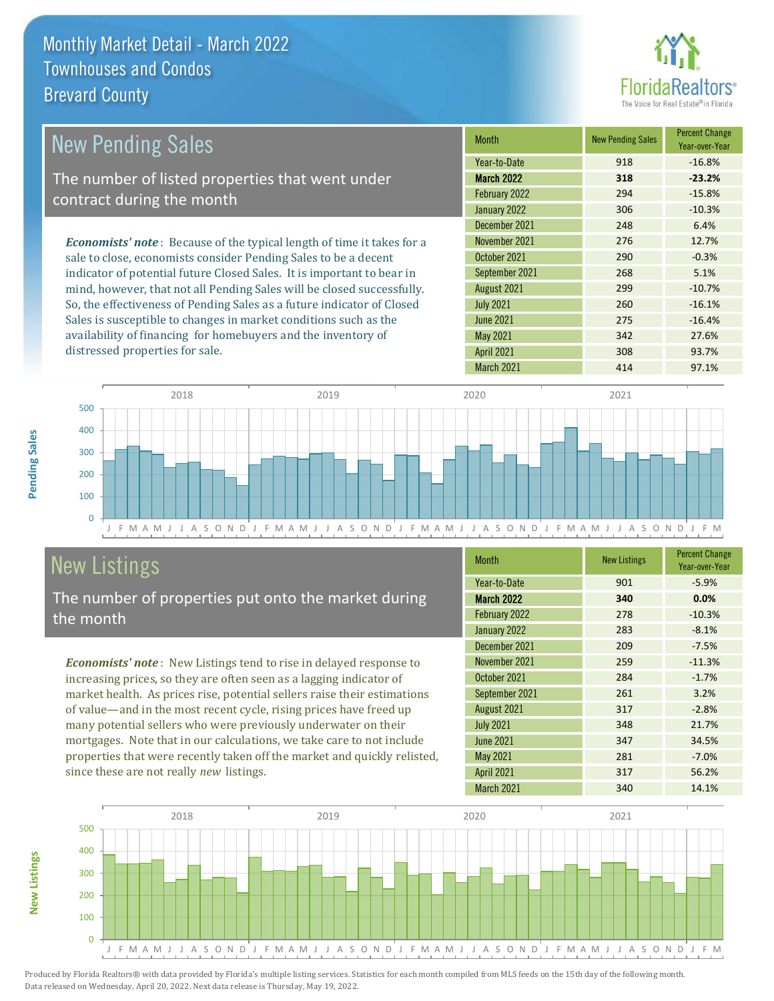

| <b>New Pending Sales</b>                                                      | <b>Month</b>      | <b>New Pending Sales</b> | <b>Percent Change</b><br>Year-over-Year |
|-------------------------------------------------------------------------------|-------------------|--------------------------|-----------------------------------------|
|                                                                               | Year-to-Date      | 918                      | $-16.8%$                                |
| The number of listed properties that went under                               | <b>March 2022</b> | 318                      | $-23.2%$                                |
| contract during the month                                                     | February 2022     | 294                      | $-15.8%$                                |
|                                                                               | January 2022      | 306                      | $-10.3%$                                |
|                                                                               | December 2021     | 248                      | 6.4%                                    |
| <b>Economists' note:</b> Because of the typical length of time it takes for a | November 2021     | 276                      | 12.7%                                   |
| sale to close, economists consider Pending Sales to be a decent               | October 2021      | 290                      | $-0.3%$                                 |
| indicator of potential future Closed Sales. It is important to bear in        | September 2021    | 268                      | 5.1%                                    |
| mind, however, that not all Pending Sales will be closed successfully.        | August 2021       | 299                      | $-10.7%$                                |
| So, the effectiveness of Pending Sales as a future indicator of Closed        | <b>July 2021</b>  | 260                      | $-16.1%$                                |
| Sales is susceptible to changes in market conditions such as the              | <b>June 2021</b>  | 275                      | $-16.4%$                                |
| availability of financing for homebuyers and the inventory of                 | May 2021          | 342                      | 27.6%                                   |



## New Listings

distressed properties for sale.

The number of properties put onto the market during the month

*Economists' note* : New Listings tend to rise in delayed response to increasing prices, so they are often seen as a lagging indicator of market health. As prices rise, potential sellers raise their estimations of value—and in the most recent cycle, rising prices have freed up many potential sellers who were previously underwater on their mortgages. Note that in our calculations, we take care to not include properties that were recently taken off the market and quickly relisted, since these are not really *new* listings.

| <b>Month</b>      | <b>New Listings</b> | <b>Percent Change</b><br>Year-over-Year |
|-------------------|---------------------|-----------------------------------------|
| Year-to-Date      | 901                 | $-5.9%$                                 |
| <b>March 2022</b> | 340                 | 0.0%                                    |
| February 2022     | 278                 | $-10.3%$                                |
| January 2022      | 283                 | $-8.1%$                                 |
| December 2021     | 209                 | $-7.5%$                                 |
| November 2021     | 259                 | $-11.3%$                                |
| October 2021      | 284                 | $-1.7%$                                 |
| September 2021    | 261                 | 3.2%                                    |
| August 2021       | 317                 | $-2.8%$                                 |
| <b>July 2021</b>  | 348                 | 21.7%                                   |
| <b>June 2021</b>  | 347                 | 34.5%                                   |
| May 2021          | 281                 | $-7.0%$                                 |
| <b>April 2021</b> | 317                 | 56.2%                                   |
| March 2021        | 340                 | 14.1%                                   |

April 2021 308 93.7% March 2021 414 414 97.1%



**Pending Sales**

Pending Sales

**New Listings**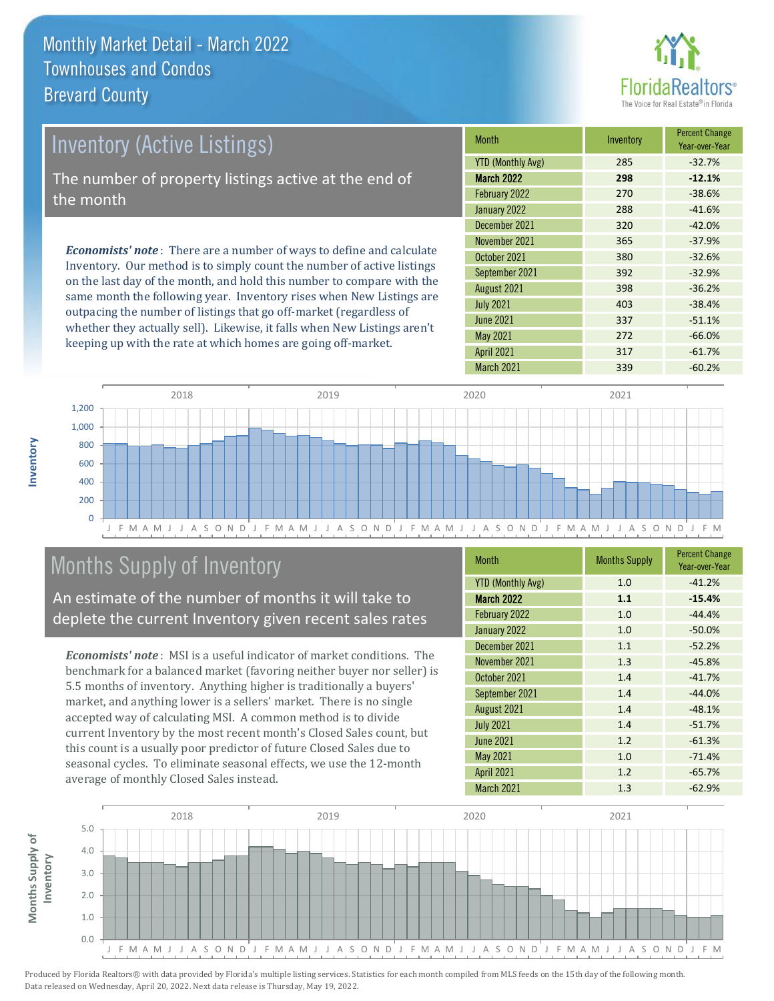

| <b>Inventory (Active Listings)</b>                                                                                                                                                                                              | <b>Month</b>      | Inventory | <b>Percent Change</b><br>Year-over-Year |
|---------------------------------------------------------------------------------------------------------------------------------------------------------------------------------------------------------------------------------|-------------------|-----------|-----------------------------------------|
|                                                                                                                                                                                                                                 | YTD (Monthly Avg) | 285       | $-32.7%$                                |
| The number of property listings active at the end of                                                                                                                                                                            | March 2022        | 298       | $-12.1%$                                |
| the month                                                                                                                                                                                                                       | February 2022     | 270       | $-38.6%$                                |
|                                                                                                                                                                                                                                 | January 2022      | 288       | $-41.6%$                                |
| <b>Economists' note</b> : There are a number of ways to define and calculate<br>Inventory. Our method is to simply count the number of active listings<br>on the lost day of the month and hold this number to compare with the | December 2021     | 320       | $-42.0%$                                |
|                                                                                                                                                                                                                                 | November 2021     | 365       | $-37.9%$                                |
|                                                                                                                                                                                                                                 | October 2021      | 380       | $-32.6%$                                |
|                                                                                                                                                                                                                                 | September 2021    | 392       | $-32.9%$                                |

on the last day of the month, and hold this number to compare with the same month the following year. Inventory rises when New Listings are outpacing the number of listings that go off-market (regardless of whether they actually sell). Likewise, it falls when New Listings aren't keeping up with the rate at which homes are going off-market.

|  |                          |     | Year-over-Year |
|--|--------------------------|-----|----------------|
|  | <b>YTD (Monthly Avg)</b> | 285 | $-32.7%$       |
|  | <b>March 2022</b>        | 298 | $-12.1%$       |
|  | February 2022            | 270 | $-38.6%$       |
|  | January 2022             | 288 | $-41.6%$       |
|  | December 2021            | 320 | $-42.0%$       |
|  | November 2021            | 365 | $-37.9%$       |
|  | October 2021             | 380 | $-32.6%$       |
|  | September 2021           | 392 | $-32.9%$       |
|  | August 2021              | 398 | $-36.2%$       |
|  | <b>July 2021</b>         | 403 | $-38.4%$       |
|  | <b>June 2021</b>         | 337 | $-51.1%$       |
|  | <b>May 2021</b>          | 272 | $-66.0%$       |
|  | <b>April 2021</b>        | 317 | $-61.7%$       |
|  | March 2021               | 339 | $-60.2%$       |



## Months Supply of Inventory

An estimate of the number of months it will take to deplete the current Inventory given recent sales rates

*Economists' note* : MSI is a useful indicator of market conditions. The benchmark for a balanced market (favoring neither buyer nor seller) is 5.5 months of inventory. Anything higher is traditionally a buyers' market, and anything lower is a sellers' market. There is no single accepted way of calculating MSI. A common method is to divide current Inventory by the most recent month's Closed Sales count, but this count is a usually poor predictor of future Closed Sales due to seasonal cycles. To eliminate seasonal effects, we use the 12-month average of monthly Closed Sales instead.

| <b>Month</b>             | <b>Months Supply</b> | <b>Percent Change</b><br>Year-over-Year |
|--------------------------|----------------------|-----------------------------------------|
| <b>YTD (Monthly Avg)</b> | 1.0                  | $-41.2%$                                |
| March 2022               | 1.1                  | $-15.4%$                                |
| February 2022            | 1.0                  | $-44.4%$                                |
| January 2022             | 1.0                  | $-50.0%$                                |
| December 2021            | 1.1                  | $-52.2%$                                |
| November 2021            | 1.3                  | $-45.8%$                                |
| October 2021             | 1.4                  | $-41.7%$                                |
| September 2021           | 1.4                  | $-44.0%$                                |
| August 2021              | 1.4                  | $-48.1%$                                |
| <b>July 2021</b>         | 1.4                  | $-51.7%$                                |
| <b>June 2021</b>         | 1.2                  | $-61.3%$                                |
| <b>May 2021</b>          | 1.0                  | $-71.4%$                                |
| <b>April 2021</b>        | 1.2                  | $-65.7%$                                |
| March 2021               | 1.3                  | $-62.9%$                                |

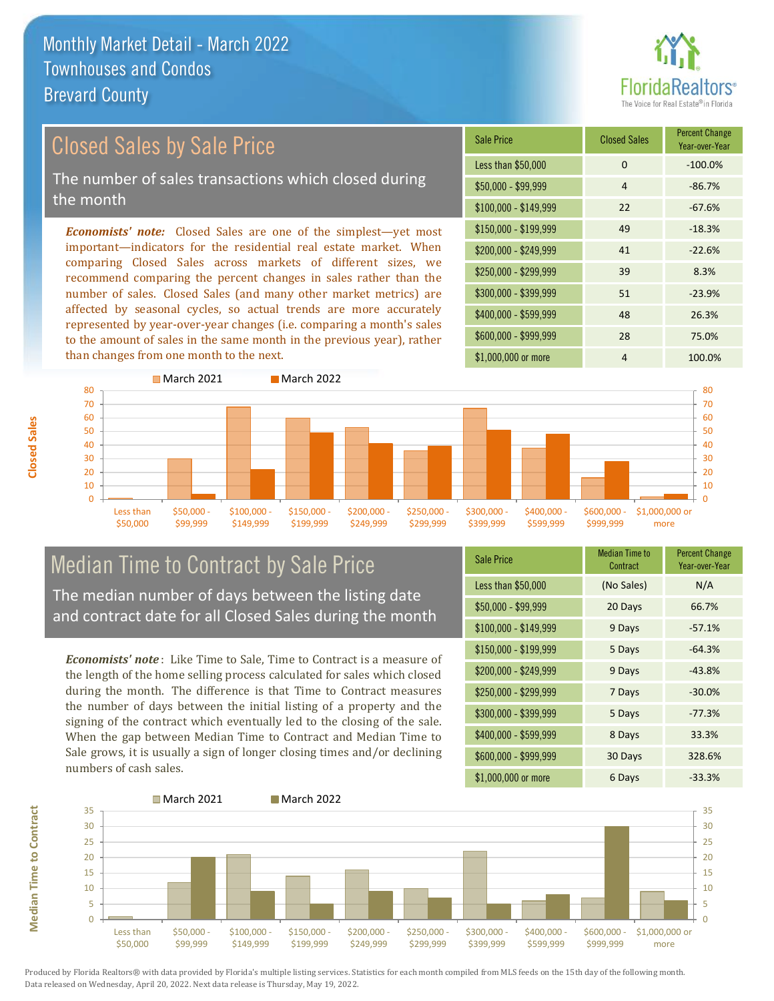## Closed Sales by Sale Price

The number of sales transactions which closed during the month

*Economists' note:* Closed Sales are one of the simplest—yet most important—indicators for the residential real estate market. When comparing Closed Sales across markets of different sizes, we recommend comparing the percent changes in sales rather than the number of sales. Closed Sales (and many other market metrics) are affected by seasonal cycles, so actual trends are more accurately represented by year-over-year changes (i.e. comparing a month's sales to the amount of sales in the same month in the previous year), rather than changes from one month to the next.

| Sale Price            | <b>Closed Sales</b> | <b>Percent Change</b><br>Year-over-Year |
|-----------------------|---------------------|-----------------------------------------|
| Less than \$50,000    | $\Omega$            | $-100.0%$                               |
| $$50,000 - $99,999$   | 4                   | $-86.7%$                                |
| $$100,000 - $149,999$ | 22                  | $-67.6%$                                |
| $$150,000 - $199,999$ | 49                  | $-18.3%$                                |
| $$200,000 - $249,999$ | 41                  | $-22.6%$                                |
| \$250,000 - \$299,999 | 39                  | 8.3%                                    |
| \$300,000 - \$399,999 | 51                  | $-23.9%$                                |
| \$400,000 - \$599,999 | 48                  | 26.3%                                   |
| \$600,000 - \$999,999 | 28                  | 75.0%                                   |
| \$1,000,000 or more   | 4                   | 100.0%                                  |



## Median Time to Contract by Sale Price

The median number of days between the listing date and contract date for all Closed Sales during the month

*Economists' note* : Like Time to Sale, Time to Contract is a measure of the length of the home selling process calculated for sales which closed during the month. The difference is that Time to Contract measures the number of days between the initial listing of a property and the signing of the contract which eventually led to the closing of the sale. When the gap between Median Time to Contract and Median Time to Sale grows, it is usually a sign of longer closing times and/or declining numbers of cash sales.

| Sale Price            | <b>Median Time to</b><br>Contract | <b>Percent Change</b><br>Year-over-Year |
|-----------------------|-----------------------------------|-----------------------------------------|
| Less than \$50,000    | (No Sales)                        | N/A                                     |
| $$50,000 - $99,999$   | 20 Days                           | 66.7%                                   |
| $$100,000 - $149,999$ | 9 Days                            | $-57.1%$                                |
| $$150,000 - $199,999$ | 5 Days                            | $-64.3%$                                |
| \$200,000 - \$249,999 | 9 Days                            | $-43.8%$                                |
| \$250,000 - \$299,999 | 7 Days                            | $-30.0%$                                |
| \$300,000 - \$399,999 | 5 Days                            | $-77.3%$                                |
| $$400,000 - $599,999$ | 8 Days                            | 33.3%                                   |
| \$600,000 - \$999,999 | 30 Days                           | 328.6%                                  |
| \$1,000,000 or more   | 6 Days                            | $-33.3%$                                |

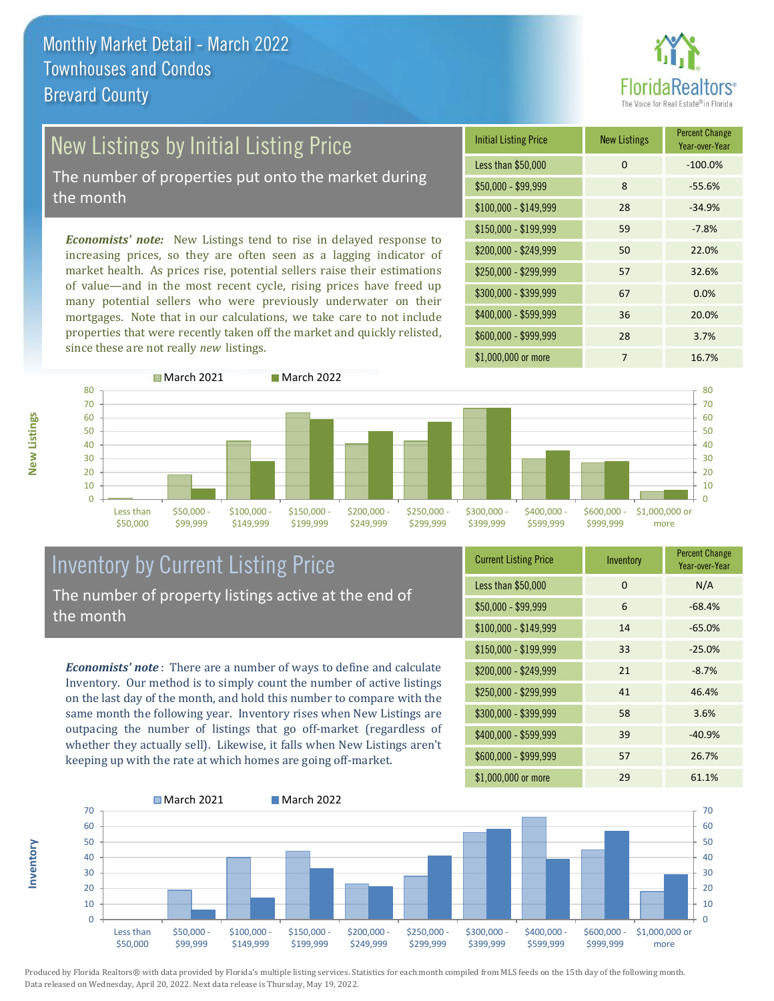

# New Listings by Initial Listing Price

The number of properties put onto the market during the month

*Economists' note:* New Listings tend to rise in delayed response to increasing prices, so they are often seen as a lagging indicator of market health. As prices rise, potential sellers raise their estimations of value—and in the most recent cycle, rising prices have freed up many potential sellers who were previously underwater on their mortgages. Note that in our calculations, we take care to not include properties that were recently taken off the market and quickly relisted, since these are not really *new* listings.





**Inventory**



## Inventory by Current Listing Price The number of property listings active at the end of the month

*Economists' note* : There are a number of ways to define and calculate Inventory. Our method is to simply count the number of active listings on the last day of the month, and hold this number to compare with the same month the following year. Inventory rises when New Listings are outpacing the number of listings that go off-market (regardless of whether they actually sell). Likewise, it falls when New Listings aren't keeping up with the rate at which homes are going off-market.

| <b>Current Listing Price</b> | Inventory | <b>Percent Change</b><br>Year-over-Year |
|------------------------------|-----------|-----------------------------------------|
| Less than \$50,000           | 0         | N/A                                     |
| $$50,000 - $99,999$          | 6         | $-68.4%$                                |
| $$100,000 - $149,999$        | 14        | $-65.0%$                                |
| $$150,000 - $199,999$        | 33        | $-25.0%$                                |
| $$200,000 - $249,999$        | 21        | $-8.7%$                                 |
| \$250,000 - \$299,999        | 41        | 46.4%                                   |
| \$300,000 - \$399,999        | 58        | 3.6%                                    |
| \$400,000 - \$599,999        | 39        | $-40.9%$                                |
| \$600,000 - \$999,999        | 57        | 26.7%                                   |
| \$1,000,000 or more          | 29        | 61.1%                                   |